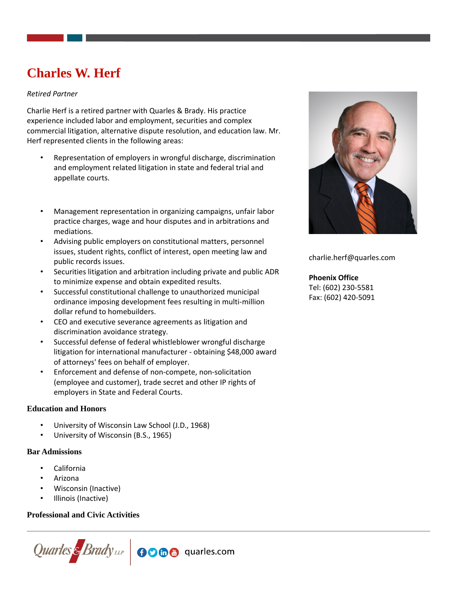# **Charles W. Herf**

## *Retired Partner*

Charlie Herf is a retired partner with Quarles & Brady. His practice experience included labor and employment, securities and complex commercial litigation, alternative dispute resolution, and education law. Mr. Herf represented clients in the following areas:

- Representation of employers in wrongful discharge, discrimination and employment related litigation in state and federal trial and appellate courts.
- 
- Management representation in organizing campaigns, unfair labor practice charges, wage and hour disputes and in arbitrations and mediations.
- Advising public employers on constitutional matters, personnel issues, student rights, conflict of interest, open meeting law and public records issues.
- Securities litigation and arbitration including private and public ADR to minimize expense and obtain expedited results.
- Successful constitutional challenge to unauthorized municipal ordinance imposing development fees resulting in multi-million dollar refund to homebuilders.
- CEO and executive severance agreements as litigation and discrimination avoidance strategy.
- Successful defense of federal whistleblower wrongful discharge litigation for international manufacturer - obtaining \$48,000 award of attorneys' fees on behalf of employer.
- Enforcement and defense of non-compete, non-solicitation (employee and customer), trade secret and other IP rights of employers in State and Federal Courts.

## **Education and Honors**

- University of Wisconsin Law School (J.D., 1968)
- University of Wisconsin (B.S., 1965)

## **Bar Admissions**

- California
- Arizona
- Wisconsin (Inactive)
- Illinois (Inactive)

## **Professional and Civic Activities**





charlie.herf@quarles.com

## **Phoenix Office**

Tel: (602) 230-5581 Fax: (602) 420-5091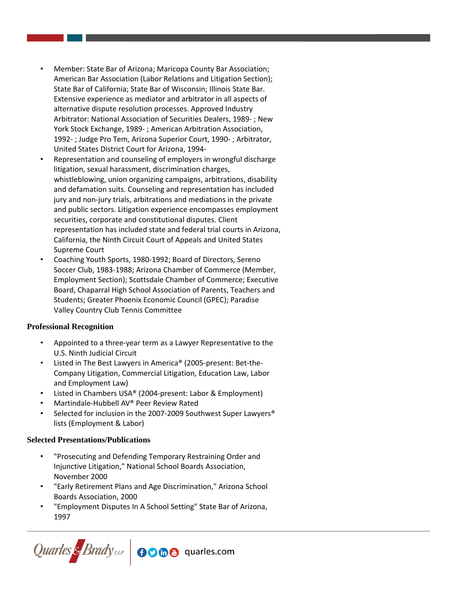- Member: State Bar of Arizona; Maricopa County Bar Association; American Bar Association (Labor Relations and Litigation Section); State Bar of California; State Bar of Wisconsin; Illinois State Bar. Extensive experience as mediator and arbitrator in all aspects of alternative dispute resolution processes. Approved Industry Arbitrator: National Association of Securities Dealers, 1989- ; New York Stock Exchange, 1989- ; American Arbitration Association, 1992- ; Judge Pro Tem, Arizona Superior Court, 1990- ; Arbitrator, United States District Court for Arizona, 1994-
- Representation and counseling of employers in wrongful discharge litigation, sexual harassment, discrimination charges, whistleblowing, union organizing campaigns, arbitrations, disability and defamation suits. Counseling and representation has included jury and non-jury trials, arbitrations and mediations in the private and public sectors. Litigation experience encompasses employment securities, corporate and constitutional disputes. Client representation has included state and federal trial courts in Arizona, California, the Ninth Circuit Court of Appeals and United States Supreme Court
- Coaching Youth Sports, 1980-1992; Board of Directors, Sereno Soccer Club, 1983-1988; Arizona Chamber of Commerce (Member, Employment Section); Scottsdale Chamber of Commerce; Executive Board, Chaparral High School Association of Parents, Teachers and Students; Greater Phoenix Economic Council (GPEC); Paradise Valley Country Club Tennis Committee

## **Professional Recognition**

- Appointed to a three-year term as a Lawyer Representative to the U.S. Ninth Judicial Circuit
- Listed in The Best Lawyers in America® (2005-present: Bet-the-Company Litigation, Commercial Litigation, Education Law, Labor and Employment Law)
- Listed in Chambers USA® (2004-present: Labor & Employment)
- Martindale-Hubbell AV® Peer Review Rated
- Selected for inclusion in the 2007-2009 Southwest Super Lawyers<sup>®</sup> lists (Employment & Labor)

## **Selected Presentations/Publications**

- "Prosecuting and Defending Temporary Restraining Order and Injunctive Litigation," National School Boards Association, November 2000
- "Early Retirement Plans and Age Discrimination," Arizona School Boards Association, 2000
- "Employment Disputes In A School Setting" State Bar of Arizona, 1997